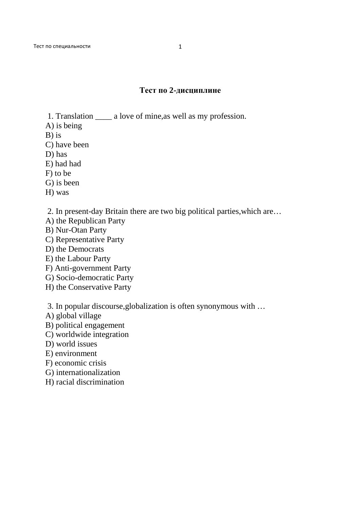## **Тест по 2-дисциплине**

- 1. Translation \_\_\_\_ a love of mine,as well as my profession.
- A) is being
- B) is
- C) have been
- D) has
- E) had had
- F) to be
- G) is been
- H) was
- 2. In present-day Britain there are two big political parties,which are…
- A) the Republican Party
- B) Nur-Otan Party
- C) Representative Party
- D) the Democrats
- E) the Labour Party
- F) Anti-government Party
- G) Socio-democratic Party
- H) the Conservative Party

3. In popular discourse,globalization is often synonymous with …

- A) global village
- B) political engagement
- C) worldwide integration
- D) world issues
- E) environment
- F) economic crisis
- G) internationalization
- H) racial discrimination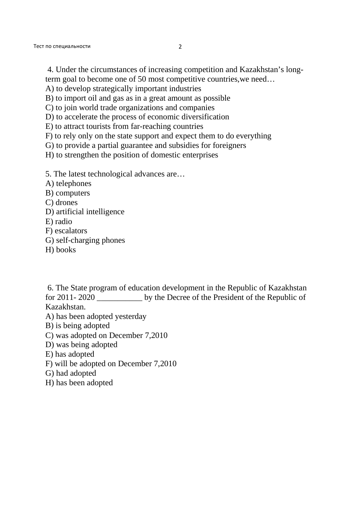- term goal to become one of 50 most competitive countries,we need…
- A) to develop strategically important industries
- B) to import oil and gas as in a great amount as possible
- C) to join world trade organizations and companies
- D) to accelerate the process of economic diversification
- E) to attract tourists from far-reaching countries
- F) to rely only on the state support and expect them to do everything
- G) to provide a partial guarantee and subsidies for foreigners
- H) to strengthen the position of domestic enterprises
- 5. The latest technological advances are…
- A) telephones
- B) computers
- C) drones
- D) artificial intelligence
- E) radio
- F) escalators
- G) self-charging phones
- H) books

 6. The State program of education development in the Republic of Kazakhstan for 2011- 2020 \_\_\_\_\_\_\_\_\_\_\_ by the Decree of the President of the Republic of Kazakhstan.

- A) has been adopted yesterday
- B) is being adopted
- C) was adopted on December 7,2010
- D) was being adopted
- E) has adopted
- F) will be adopted on December 7,2010
- G) had adopted
- H) has been adopted